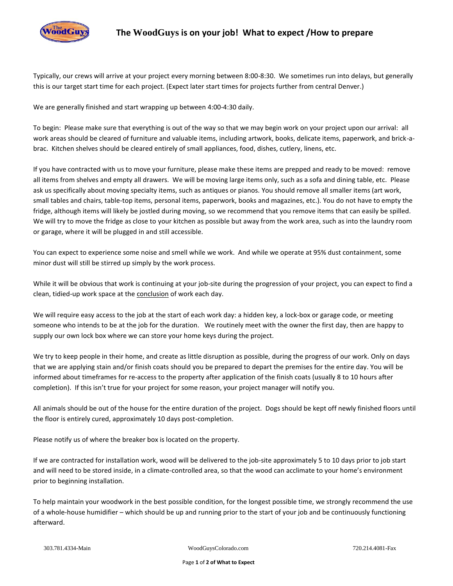

Typically, our crews will arrive at your project every morning between 8:00-8:30. We sometimes run into delays, but generally this is our target start time for each project. (Expect later start times for projects further from central Denver.)

We are generally finished and start wrapping up between 4:00-4:30 daily.

To begin: Please make sure that everything is out of the way so that we may begin work on your project upon our arrival: all work areas should be cleared of furniture and valuable items, including artwork, books, delicate items, paperwork, and brick-abrac. Kitchen shelves should be cleared entirely of small appliances, food, dishes, cutlery, linens, etc.

If you have contracted with us to move your furniture, please make these items are prepped and ready to be moved: remove all items from shelves and empty all drawers. We will be moving large items only, such as a sofa and dining table, etc. Please ask us specifically about moving specialty items, such as antiques or pianos. You should remove all smaller items (art work, small tables and chairs, table-top items, personal items, paperwork, books and magazines, etc.). You do not have to empty the fridge, although items will likely be jostled during moving, so we recommend that you remove items that can easily be spilled. We will try to move the fridge as close to your kitchen as possible but away from the work area, such as into the laundry room or garage, where it will be plugged in and still accessible.

You can expect to experience some noise and smell while we work. And while we operate at 95% dust containment, some minor dust will still be stirred up simply by the work process.

While it will be obvious that work is continuing at your job-site during the progression of your project, you can expect to find a clean, tidied-up work space at the conclusion of work each day.

We will require easy access to the job at the start of each work day: a hidden key, a lock-box or garage code, or meeting someone who intends to be at the job for the duration. We routinely meet with the owner the first day, then are happy to supply our own lock box where we can store your home keys during the project.

We try to keep people in their home, and create as little disruption as possible, during the progress of our work. Only on days that we are applying stain and/or finish coats should you be prepared to depart the premises for the entire day. You will be informed about timeframes for re-access to the property after application of the finish coats (usually 8 to 10 hours after completion). If this isn't true for your project for some reason, your project manager will notify you.

All animals should be out of the house for the entire duration of the project. Dogs should be kept off newly finished floors until the floor is entirely cured, approximately 10 days post-completion.

Please notify us of where the breaker box is located on the property.

If we are contracted for installation work, wood will be delivered to the job-site approximately 5 to 10 days prior to job start and will need to be stored inside, in a climate-controlled area, so that the wood can acclimate to your home's environment prior to beginning installation.

To help maintain your woodwork in the best possible condition, for the longest possible time, we strongly recommend the use of a whole-house humidifier – which should be up and running prior to the start of your job and be continuously functioning afterward.